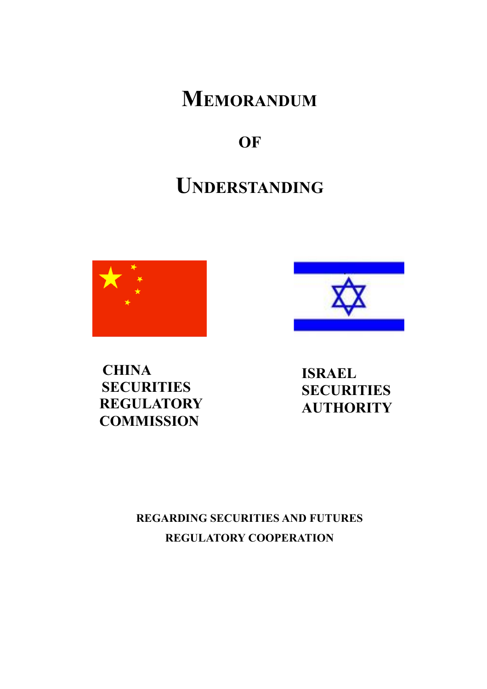**MEMORANDUM**

**OF** 

# **UNDERSTANDING**





**CHINA SECURITIES REGULATORY COMMISSION**

**ISRAEL SECURITIES AUTHORITY**

## **REGARDING SECURITIES AND FUTURES REGULATORY COOPERATION**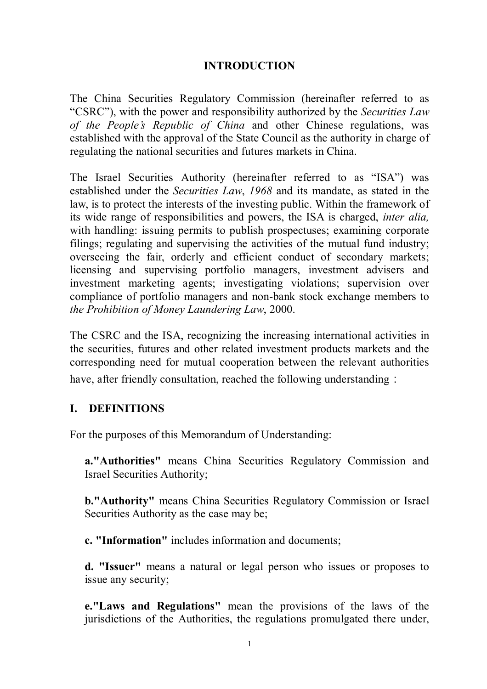#### **INTRODUCTION**

The China Securities Regulatory Commission (hereinafter referred to as "CSRC"), with the power and responsibility authorized by the *Securities Law of the People's Republic of China* and other Chinese regulations, was established with the approval of the State Council as the authority in charge of regulating the national securities and futures markets in China.

The Israel Securities Authority (hereinafter referred to as "ISA") was established under the *Securities Law*, *1968* and its mandate, as stated in the law, is to protect the interests of the investing public. Within the framework of its wide range of responsibilities and powers, the ISA is charged, *inter alia,* with handling: issuing permits to publish prospectuses; examining corporate filings; regulating and supervising the activities of the mutual fund industry; overseeing the fair, orderly and efficient conduct of secondary markets; licensing and supervising portfolio managers, investment advisers and investment marketing agents; investigating violations; supervision over compliance of portfolio managers and non-bank stock exchange members to *the Prohibition of Money Laundering Law*, 2000.

The CSRC and the ISA, recognizing the increasing international activities in the securities, futures and other related investment products markets and the corresponding need for mutual cooperation between the relevant authorities have, after friendly consultation, reached the following understanding:

#### **I. DEFINITIONS**

For the purposes of this Memorandum of Understanding:

**a."Authorities"** means China Securities Regulatory Commission and Israel Securities Authority;

**b."Authority"** means China Securities Regulatory Commission or Israel Securities Authority as the case may be;

**c. "Information"** includes information and documents;

**d. "Issuer"** means a natural or legal person who issues or proposes to issue any security;

**e."Laws and Regulations"** mean the provisions of the laws of the jurisdictions of the Authorities, the regulations promulgated there under,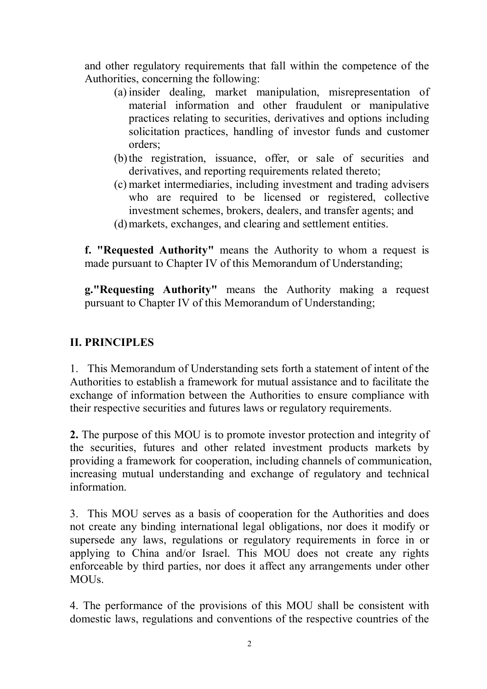and other regulatory requirements that fall within the competence of the Authorities, concerning the following:

- (a) insider dealing, market manipulation, misrepresentation of material information and other fraudulent or manipulative practices relating to securities, derivatives and options including solicitation practices, handling of investor funds and customer orders;
- (b)the registration, issuance, offer, or sale of securities and derivatives, and reporting requirements related thereto;
- (c) market intermediaries, including investment and trading advisers who are required to be licensed or registered, collective investment schemes, brokers, dealers, and transfer agents; and
- (d)markets, exchanges, and clearing and settlement entities.

**f. "Requested Authority"** means the Authority to whom a request is made pursuant to Chapter IV of this Memorandum of Understanding;

**g."Requesting Authority"** means the Authority making a request pursuant to Chapter IV of this Memorandum of Understanding;

#### **II. PRINCIPLES**

1. This Memorandum of Understanding sets forth a statement of intent of the Authorities to establish a framework for mutual assistance and to facilitate the exchange of information between the Authorities to ensure compliance with their respective securities and futures laws or regulatory requirements.

**2.** The purpose of this MOU is to promote investor protection and integrity of the securities, futures and other related investment products markets by providing a framework for cooperation, including channels of communication, increasing mutual understanding and exchange of regulatory and technical information.

3. This MOU serves as a basis of cooperation for the Authorities and does not create any binding international legal obligations, nor does it modify or supersede any laws, regulations or regulatory requirements in force in or applying to China and/or Israel. This MOU does not create any rights enforceable by third parties, nor does it affect any arrangements under other **MOUS** 

4. The performance of the provisions of this MOU shall be consistent with domestic laws, regulations and conventions of the respective countries of the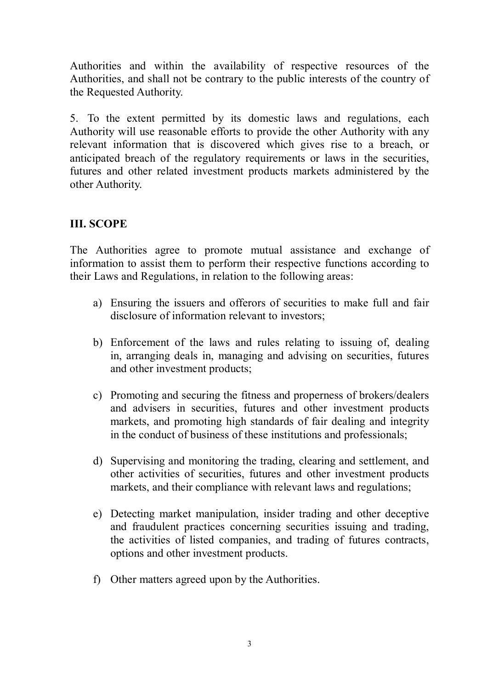Authorities and within the availability of respective resources of the Authorities, and shall not be contrary to the public interests of the country of the Requested Authority.

5. To the extent permitted by its domestic laws and regulations, each Authority will use reasonable efforts to provide the other Authority with any relevant information that is discovered which gives rise to a breach, or anticipated breach of the regulatory requirements or laws in the securities, futures and other related investment products markets administered by the other Authority.

#### **III. SCOPE**

The Authorities agree to promote mutual assistance and exchange of information to assist them to perform their respective functions according to their Laws and Regulations, in relation to the following areas:

- a) Ensuring the issuers and offerors of securities to make full and fair disclosure of information relevant to investors;
- b) Enforcement of the laws and rules relating to issuing of, dealing in, arranging deals in, managing and advising on securities, futures and other investment products;
- c) Promoting and securing the fitness and properness of brokers/dealers and advisers in securities, futures and other investment products markets, and promoting high standards of fair dealing and integrity in the conduct of business of these institutions and professionals;
- d) Supervising and monitoring the trading, clearing and settlement, and other activities of securities, futures and other investment products markets, and their compliance with relevant laws and regulations;
- e) Detecting market manipulation, insider trading and other deceptive and fraudulent practices concerning securities issuing and trading, the activities of listed companies, and trading of futures contracts, options and other investment products.
- f) Other matters agreed upon by the Authorities.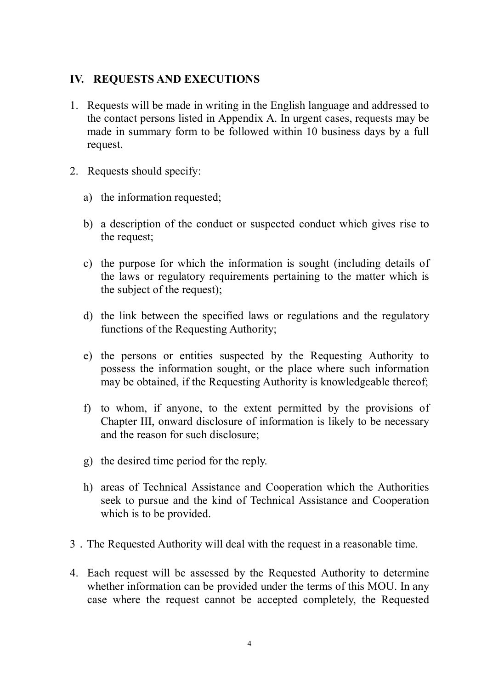#### **IV. REQUESTS AND EXECUTIONS**

- 1. Requests will be made in writing in the English language and addressed to the contact persons listed in Appendix A. In urgent cases, requests may be made in summary form to be followed within 10 business days by a full request.
- 2. Requests should specify:
	- a) the information requested;
	- b) a description of the conduct or suspected conduct which gives rise to the request;
	- c) the purpose for which the information is sought (including details of the laws or regulatory requirements pertaining to the matter which is the subject of the request);
	- d) the link between the specified laws or regulations and the regulatory functions of the Requesting Authority;
	- e) the persons or entities suspected by the Requesting Authority to possess the information sought, or the place where such information may be obtained, if the Requesting Authority is knowledgeable thereof;
	- f) to whom, if anyone, to the extent permitted by the provisions of Chapter III, onward disclosure of information is likely to be necessary and the reason for such disclosure;
	- g) the desired time period for the reply.
	- h) areas of Technical Assistance and Cooperation which the Authorities seek to pursue and the kind of Technical Assistance and Cooperation which is to be provided.
- 3.The Requested Authority will deal with the request in a reasonable time.
- 4. Each request will be assessed by the Requested Authority to determine whether information can be provided under the terms of this MOU. In any case where the request cannot be accepted completely, the Requested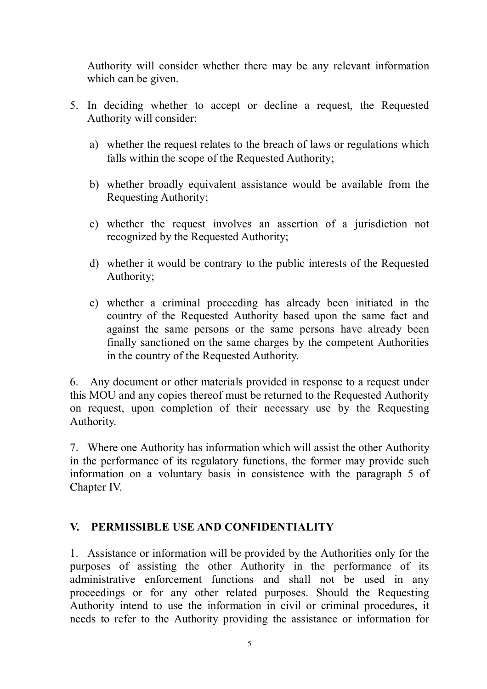Authority will consider whether there may be any relevant information which can be given.

- 5. In deciding whether to accept or decline a request, the Requested Authority will consider:
	- a) whether the request relates to the breach of laws or regulations which falls within the scope of the Requested Authority;
	- b) whether broadly equivalent assistance would be available from the Requesting Authority;
	- c) whether the request involves an assertion of a jurisdiction not recognized by the Requested Authority;
	- d) whether it would be contrary to the public interests of the Requested Authority;
	- e) whether a criminal proceeding has already been initiated in the country of the Requested Authority based upon the same fact and against the same persons or the same persons have already been finally sanctioned on the same charges by the competent Authorities in the country of the Requested Authority.

6. Any document or other materials provided in response to a request under this MOU and any copies thereof must be returned to the Requested Authority on request, upon completion of their necessary use by the Requesting Authority.

7. Where one Authority has information which will assist the other Authority in the performance of its regulatory functions, the former may provide such information on a voluntary basis in consistence with the paragraph 5 of Chapter IV.

## **V. PERMISSIBLE USE AND CONFIDENTIALITY**

1. Assistance or information will be provided by the Authorities only for the purposes of assisting the other Authority in the performance of its administrative enforcement functions and shall not be used in any proceedings or for any other related purposes. Should the Requesting Authority intend to use the information in civil or criminal procedures, it needs to refer to the Authority providing the assistance or information for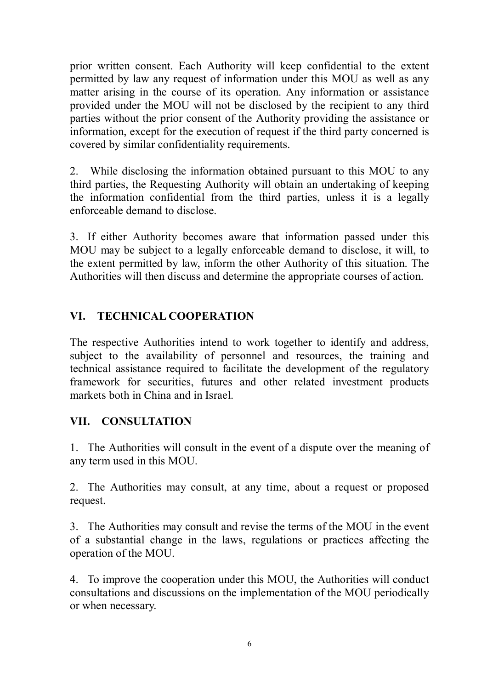prior written consent. Each Authority will keep confidential to the extent permitted by law any request of information under this MOU as well as any matter arising in the course of its operation. Any information or assistance provided under the MOU will not be disclosed by the recipient to any third parties without the prior consent of the Authority providing the assistance or information, except for the execution of request if the third party concerned is covered by similar confidentiality requirements.

2. While disclosing the information obtained pursuant to this MOU to any third parties, the Requesting Authority will obtain an undertaking of keeping the information confidential from the third parties, unless it is a legally enforceable demand to disclose.

3. If either Authority becomes aware that information passed under this MOU may be subject to a legally enforceable demand to disclose, it will, to the extent permitted by law, inform the other Authority of this situation. The Authorities will then discuss and determine the appropriate courses of action.

## **VI. TECHNICAL COOPERATION**

The respective Authorities intend to work together to identify and address, subject to the availability of personnel and resources, the training and technical assistance required to facilitate the development of the regulatory framework for securities, futures and other related investment products markets both in China and in Israel.

#### **VII. CONSULTATION**

1. The Authorities will consult in the event of a dispute over the meaning of any term used in this MOU.

2. The Authorities may consult, at any time, about a request or proposed request.

3. The Authorities may consult and revise the terms of the MOU in the event of a substantial change in the laws, regulations or practices affecting the operation of the MOU.

4. To improve the cooperation under this MOU, the Authorities will conduct consultations and discussions on the implementation of the MOU periodically or when necessary.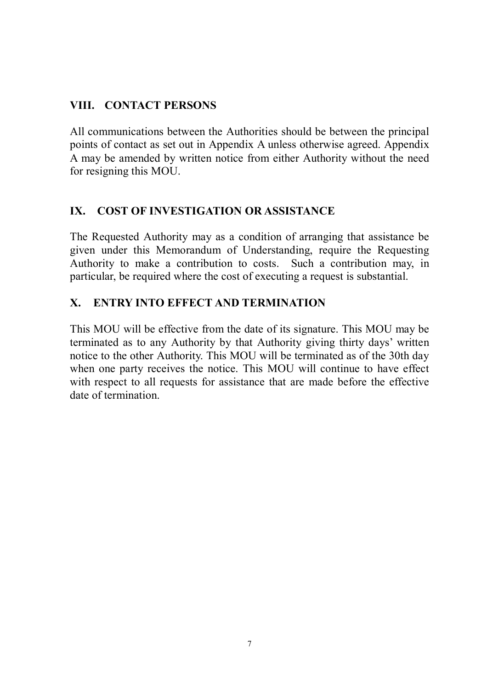## **VIII. CONTACT PERSONS**

All communications between the Authorities should be between the principal points of contact as set out in Appendix A unless otherwise agreed. Appendix A may be amended by written notice from either Authority without the need for resigning this MOU.

## **IX. COST OF INVESTIGATION OR ASSISTANCE**

The Requested Authority may as a condition of arranging that assistance be given under this Memorandum of Understanding, require the Requesting Authority to make a contribution to costs. Such a contribution may, in particular, be required where the cost of executing a request is substantial.

## **X. ENTRY INTO EFFECT AND TERMINATION**

This MOU will be effective from the date of its signature. This MOU may be terminated as to any Authority by that Authority giving thirty days' written notice to the other Authority. This MOU will be terminated as of the 30th day when one party receives the notice. This MOU will continue to have effect with respect to all requests for assistance that are made before the effective date of termination.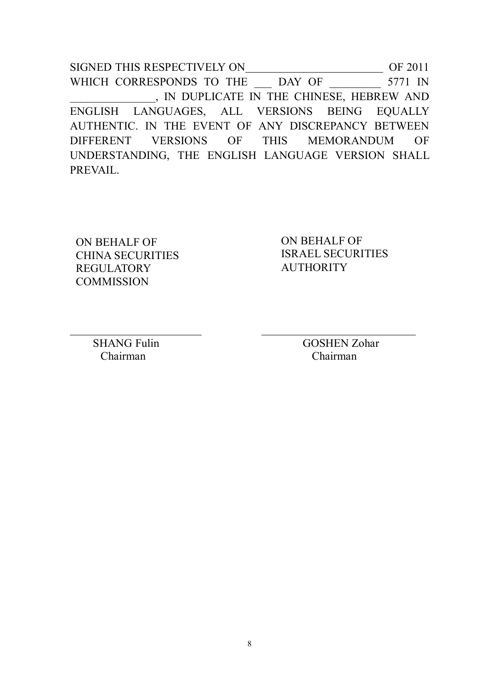SIGNED THIS RESPECTIVELY ON OF 2011 WHICH CORRESPONDS TO THE \_\_\_ DAY OF \_\_\_\_\_\_\_\_\_ 5771 IN \_\_\_\_\_\_\_\_\_\_\_\_\_\_\_, IN DUPLICATE IN THE CHINESE, HEBREW AND ENGLISH LANGUAGES, ALL VERSIONS BEING EQUALLY AUTHENTIC. IN THE EVENT OF ANY DISCREPANCY BETWEEN DIFFERENT VERSIONS OF THIS MEMORANDUM OF UNDERSTANDING, THE ENGLISH LANGUAGE VERSION SHALL PREVAIL.

ON BEHALF OF CHINA SECURITIES **REGULATORY COMMISSION** 

ON BEHALF OF ISRAEL SECURITIES **AUTHORITY** 

Chairman Chairman

 $\overline{a}$ 

SHANG Fulin GOSHEN Zohar